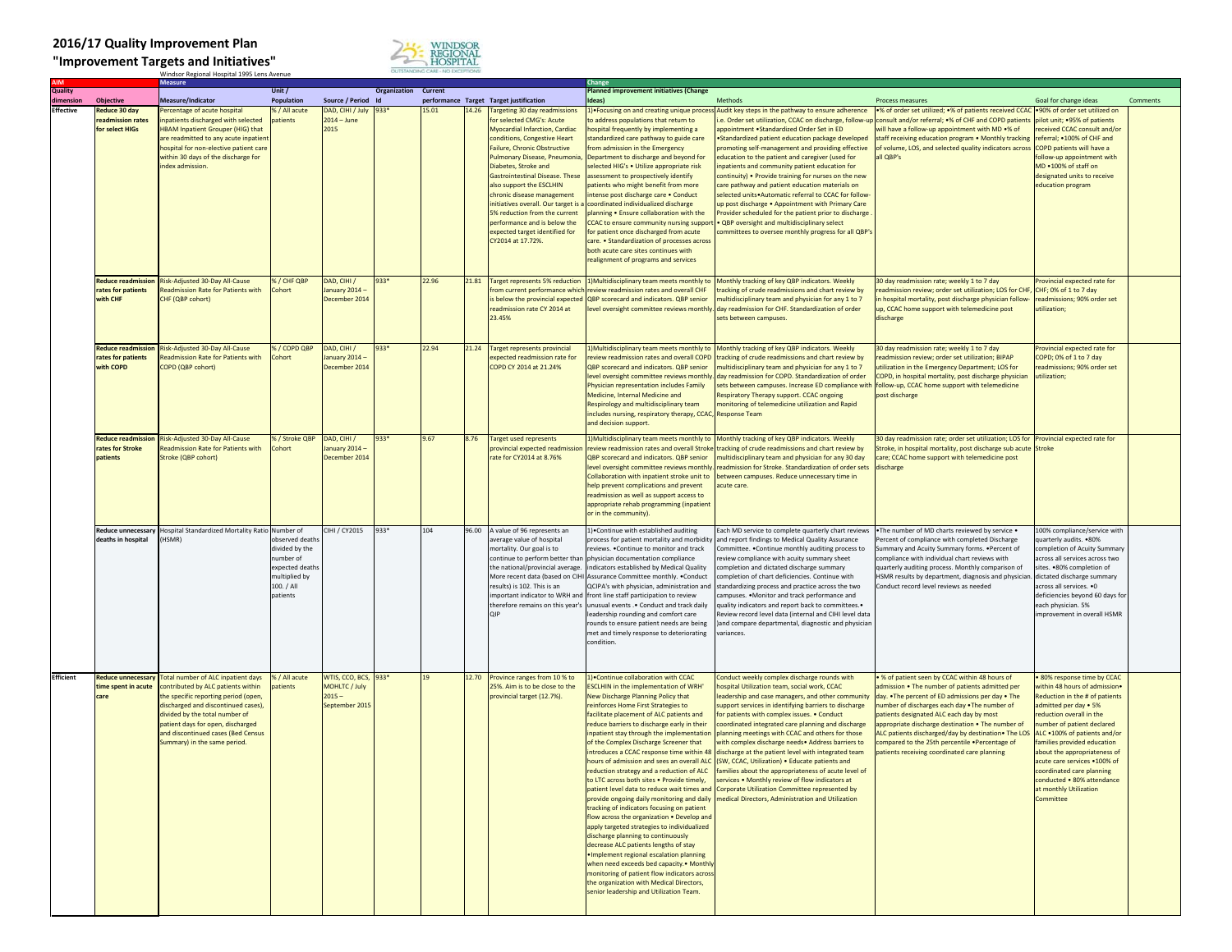## **2016/17 Quality Improvement Plan**

**"Improvement Targets and Initiatives"** Windsor Regional Hospital 1995 Lens Avenue



| <b>Quality</b>   |                                              | Vieasure                                                             | Unit /                      |                                 | <b>Organization Current</b> |       |       |                                                                  | Planned improvement initiatives (Change                                                   |                                                                                                             |                                                                                                                           |                                                               |          |
|------------------|----------------------------------------------|----------------------------------------------------------------------|-----------------------------|---------------------------------|-----------------------------|-------|-------|------------------------------------------------------------------|-------------------------------------------------------------------------------------------|-------------------------------------------------------------------------------------------------------------|---------------------------------------------------------------------------------------------------------------------------|---------------------------------------------------------------|----------|
| mension          | <b>Objective</b>                             | Measure/Indicator                                                    | Population                  | Source / Period Id              |                             |       |       | performance Target Target justification                          | deas)                                                                                     | Methods                                                                                                     | Process measures                                                                                                          | Goal for change ideas                                         | Comments |
| <b>Effective</b> | Reduce 30 day                                | ercentage of acute hospital                                          | % / All acute               | DAD, CIHI / July                | 933*                        | 15.01 |       | 14.26 Targeting 30 day readmissions                              | 1) • Focusing on and creating unique proces                                               | Audit key steps in the pathway to ensure adherence                                                          | •% of order set utilized; •% of patients received CCAC .90% of order set utilized on                                      |                                                               |          |
|                  | readmission rates                            | npatients discharged with selected                                   | patients                    | $2014 - June$                   |                             |       |       | for selected CMG's: Acute                                        | to address populations that return to                                                     |                                                                                                             | .e. Order set utilization, CCAC on discharge, follow-up consult and/or referral; •% of CHF and COPD patients              | pilot unit; .95% of patients                                  |          |
|                  | for select HIGs                              | <b>HBAM Inpatient Grouper (HIG) that</b>                             |                             | 2015                            |                             |       |       | Myocardial Infarction, Cardiac                                   | hospital frequently by implementing a                                                     | ppointment .Standardized Order Set in ED                                                                    | will have a follow-up appointment with MD .% of                                                                           | received CCAC consult and/or                                  |          |
|                  |                                              | are readmitted to any acute inpatien                                 |                             |                                 |                             |       |       | conditions, Congestive Heart                                     | standardized care pathway to guide care                                                   | Standardized patient education package developed                                                            | staff receiving education program . Monthly tracking                                                                      | referral; . 100% of CHF and                                   |          |
|                  |                                              | hospital for non-elective patient care                               |                             |                                 |                             |       |       | Failure, Chronic Obstructive                                     | rom admission in the Emergency                                                            | promoting self-management and providing effective                                                           | of volume, LOS, and selected quality indicators across                                                                    | COPD patients will have a                                     |          |
|                  |                                              | within 30 days of the discharge for                                  |                             |                                 |                             |       |       | Pulmonary Disease, Pneumonia,                                    | Department to discharge and beyond for                                                    | education to the patient and caregiver (used for                                                            | all <b>QBP's</b>                                                                                                          | follow-up appointment with                                    |          |
|                  |                                              | index admission.                                                     |                             |                                 |                             |       |       | Diabetes, Stroke and                                             | selected HIG's . Utilize appropriate risk                                                 | npatients and community patient education for                                                               |                                                                                                                           | MD .100% of staff on                                          |          |
|                  |                                              |                                                                      |                             |                                 |                             |       |       | <b>Gastrointestinal Disease. These</b>                           | assessment to prospectively identify                                                      | continuity) . Provide training for nurses on the new                                                        |                                                                                                                           | designated units to receive                                   |          |
|                  |                                              |                                                                      |                             |                                 |                             |       |       | also support the ESCLHIN                                         | patients who might benefit from more                                                      | care pathway and patient education materials on                                                             |                                                                                                                           | education program                                             |          |
|                  |                                              |                                                                      |                             |                                 |                             |       |       | chronic disease management<br>initiatives overall. Our target is | intense post discharge care . Conduct<br>coordinated individualized discharge             | selected units . Automatic referral to CCAC for follow<br>up post discharge . Appointment with Primary Care |                                                                                                                           |                                                               |          |
|                  |                                              |                                                                      |                             |                                 |                             |       |       | 5% reduction from the current                                    | planning . Ensure collaboration with the                                                  | Provider scheduled for the patient prior to discharge                                                       |                                                                                                                           |                                                               |          |
|                  |                                              |                                                                      |                             |                                 |                             |       |       | performance and is below the                                     | CCAC to ensure community nursing support                                                  | QBP oversight and multidisciplinary select                                                                  |                                                                                                                           |                                                               |          |
|                  |                                              |                                                                      |                             |                                 |                             |       |       | expected target identified for                                   | for patient once discharged from acute                                                    | ommittees to oversee monthly progress for all QBP's                                                         |                                                                                                                           |                                                               |          |
|                  |                                              |                                                                      |                             |                                 |                             |       |       | CY2014 at 17.72%.                                                | care. • Standardization of processes across                                               |                                                                                                             |                                                                                                                           |                                                               |          |
|                  |                                              |                                                                      |                             |                                 |                             |       |       |                                                                  | both acute care sites continues with                                                      |                                                                                                             |                                                                                                                           |                                                               |          |
|                  |                                              |                                                                      |                             |                                 |                             |       |       |                                                                  | realignment of programs and services                                                      |                                                                                                             |                                                                                                                           |                                                               |          |
|                  |                                              |                                                                      |                             |                                 |                             |       |       |                                                                  |                                                                                           |                                                                                                             |                                                                                                                           |                                                               |          |
|                  | <b>Reduce readmissio</b>                     | Risk-Adjusted 30-Day All-Cause                                       | 6 / CHF QBP                 | DAD, CIHI /                     | 933*                        | 22.96 | 21.81 | <b>Target represents 5% reduction</b>                            | 1) Multidisciplinary team meets monthly to                                                | Monthly tracking of key QBP indicators. Weekly                                                              | 0 day readmission rate; weekly 1 to 7 day                                                                                 | rovincial expected rate for                                   |          |
|                  | ates for patients                            | Readmission Rate for Patients with                                   | Cohort                      | anuary 2014 -                   |                             |       |       | from current performance which                                   | review readmission rates and overall CHF                                                  | racking of crude readmissions and chart review by                                                           | eadmission review; order set utilization; LOS for CHF                                                                     | CHF; 0% of 1 to 7 day                                         |          |
|                  | with CHF                                     | CHF (QBP cohort)                                                     |                             | December 2014                   |                             |       |       | below the provincial expected                                    | QBP scorecard and indicators. QBP senior                                                  | multidisciplinary team and physician for any 1 to 7                                                         | h hospital mortality, post discharge physician follow-                                                                    | readmissions; 90% order set                                   |          |
|                  |                                              |                                                                      |                             |                                 |                             |       |       | eadmission rate CY 2014 at                                       | level oversight committee reviews monthly.                                                | day readmission for CHF. Standardization of order                                                           | up, CCAC home support with telemedicine post                                                                              | utilization;                                                  |          |
|                  |                                              |                                                                      |                             |                                 |                             |       |       | 23.45%                                                           |                                                                                           | sets between campuses.                                                                                      | discharge                                                                                                                 |                                                               |          |
|                  |                                              |                                                                      |                             |                                 |                             |       |       |                                                                  |                                                                                           |                                                                                                             |                                                                                                                           |                                                               |          |
|                  |                                              |                                                                      |                             |                                 |                             |       |       |                                                                  |                                                                                           |                                                                                                             |                                                                                                                           |                                                               |          |
|                  | <b>Reduce readmission</b>                    | Risk-Adjusted 30-Day All-Cause                                       | % / COPD QBP                | DAD, CIHI /                     | 933*                        | 22.94 | 21.24 | <b>Target represents provincial</b>                              | 1) Multidisciplinary team meets monthly to                                                | Monthly tracking of key QBP indicators. Weekly                                                              | 30 day readmission rate; weekly 1 to 7 day                                                                                | rovincial expected rate for                                   |          |
|                  | rates for patients<br>with COPD              | <b>Readmission Rate for Patients with</b><br>COPD (QBP cohort)       | Cohort                      | January 2014 -<br>December 2014 |                             |       |       | expected readmission rate for<br>COPD CY 2014 at 21.24%          | review readmission rates and overall COPD<br>QBP scorecard and indicators. QBP senior     | tracking of crude readmissions and chart review by<br>multidisciplinary team and physician for any 1 to 7   | readmission review; order set utilization; BIPAP<br>utilization in the Emergency Department; LOS for                      | COPD; 0% of 1 to 7 day<br>readmissions; 90% order set         |          |
|                  |                                              |                                                                      |                             |                                 |                             |       |       |                                                                  |                                                                                           | level oversight committee reviews monthly. day readmission for COPD. Standardization of order               | COPD, in hospital mortality, post discharge physician                                                                     | utilization;                                                  |          |
|                  |                                              |                                                                      |                             |                                 |                             |       |       |                                                                  | Physician representation includes Family                                                  | sets between campuses. Increase ED compliance with follow-up, CCAC home support with telemedicine           |                                                                                                                           |                                                               |          |
|                  |                                              |                                                                      |                             |                                 |                             |       |       |                                                                  | Medicine, Internal Medicine and                                                           | Respiratory Therapy support. CCAC ongoing                                                                   | post discharge                                                                                                            |                                                               |          |
|                  |                                              |                                                                      |                             |                                 |                             |       |       |                                                                  | Respirology and multidisciplinary team                                                    | monitoring of telemedicine utilization and Rapid                                                            |                                                                                                                           |                                                               |          |
|                  |                                              |                                                                      |                             |                                 |                             |       |       |                                                                  | includes nursing, respiratory therapy, CCAC, Response Team                                |                                                                                                             |                                                                                                                           |                                                               |          |
|                  |                                              |                                                                      |                             |                                 |                             |       |       |                                                                  | and decision support.                                                                     |                                                                                                             |                                                                                                                           |                                                               |          |
|                  |                                              |                                                                      |                             |                                 |                             |       |       |                                                                  |                                                                                           |                                                                                                             |                                                                                                                           |                                                               |          |
|                  | <b>Reduce readmission</b><br>ates for Stroke | Risk-Adjusted 30-Day All-Cause<br>Readmission Rate for Patients with | % / Stroke QBP<br>Cohort    | DAD, CIHI /<br>anuary 2014 -    | 933*                        | 9.67  | 8.76  | <b>Target used represents</b><br>provincial expected readmissio  | 1) Multidisciplinary team meets monthly to<br>review readmission rates and overall Stroke | Monthly tracking of key QBP indicators. Weekly<br>racking of crude readmissions and chart review by         | 30 day readmission rate; order set utilization; LOS for<br>Stroke, in hospital mortality, post discharge sub acute Stroke | Provincial expected rate for                                  |          |
|                  | patients                                     | Stroke (QBP cohort)                                                  |                             | December 2014                   |                             |       |       | rate for CY2014 at 8.76%                                         | QBP scorecard and indicators. QBP senior                                                  | nultidisciplinary team and physician for any 30 day                                                         | care; CCAC home support with telemedicine post                                                                            |                                                               |          |
|                  |                                              |                                                                      |                             |                                 |                             |       |       |                                                                  | evel oversight committee reviews monthly.                                                 | readmission for Stroke. Standardization of order sets                                                       | discharge                                                                                                                 |                                                               |          |
|                  |                                              |                                                                      |                             |                                 |                             |       |       |                                                                  | Collaboration with inpatient stroke unit to                                               | between campuses. Reduce unnecessary time in                                                                |                                                                                                                           |                                                               |          |
|                  |                                              |                                                                      |                             |                                 |                             |       |       |                                                                  | help prevent complications and prevent                                                    | cute care.                                                                                                  |                                                                                                                           |                                                               |          |
|                  |                                              |                                                                      |                             |                                 |                             |       |       |                                                                  | readmission as well as support access to                                                  |                                                                                                             |                                                                                                                           |                                                               |          |
|                  |                                              |                                                                      |                             |                                 |                             |       |       |                                                                  | appropriate rehab programming (inpatient                                                  |                                                                                                             |                                                                                                                           |                                                               |          |
|                  |                                              |                                                                      |                             |                                 |                             |       |       |                                                                  | or in the community).                                                                     |                                                                                                             |                                                                                                                           |                                                               |          |
|                  |                                              |                                                                      |                             |                                 |                             |       |       |                                                                  |                                                                                           |                                                                                                             |                                                                                                                           |                                                               |          |
|                  | <b>Reduce unnecessary</b>                    | Hospital Standardized Mortality Ratio Number of                      |                             | CIHI / CY2015                   | 933*                        | 104   |       | 96.00 A value of 96 represents an                                | 1) Continue with established auditing                                                     | ach MD service to complete quarterly chart reviews                                                          | . The number of MD charts reviewed by service .                                                                           | 100% compliance/service with                                  |          |
|                  | deaths in hospital                           | HSMR)                                                                | observed death              |                                 |                             |       |       | average value of hospital                                        | process for patient mortality and morbidity                                               | and report findings to Medical Quality Assurance                                                            | Percent of compliance with completed Discharge                                                                            | quarterly audits. •80%                                        |          |
|                  |                                              |                                                                      | divided by the<br>number of |                                 |                             |       |       | mortality. Our goal is to<br>continue to perform better than     | reviews. . Continue to monitor and track<br>physician documentation compliance            | Committee. . Continue monthly auditing process to<br>eview compliance with acuity summary sheet             | Summary and Acuity Summary forms. . Percent of<br>compliance with individual chart reviews with                           | ompletion of Acuity Summary<br>across all services across two |          |
|                  |                                              |                                                                      | expected death              |                                 |                             |       |       | the national/provincial average.                                 | indicators established by Medical Quality                                                 | completion and dictated discharge summary                                                                   | quarterly auditing process. Monthly comparison of                                                                         | sites. .80% completion of                                     |          |
|                  |                                              |                                                                      | multiplied by               |                                 |                             |       |       | More recent data (based on CIHI                                  | Assurance Committee monthly. . Conduct                                                    | completion of chart deficiencies. Continue with                                                             | HSMR results by department, diagnosis and physician.                                                                      | dictated discharge summary                                    |          |
|                  |                                              |                                                                      | 100. / All                  |                                 |                             |       |       | results) is 102. This is an                                      | QCIPA's with physician, administration and                                                | standardizing process and practice across the two                                                           | Conduct record level reviews as needed                                                                                    | across all services. .0                                       |          |
|                  |                                              |                                                                      | patients                    |                                 |                             |       |       | important indicator to WRH and                                   | front line staff participation to review                                                  | ampuses. . Monitor and track performance and                                                                |                                                                                                                           | deficiencies beyond 60 days for                               |          |
|                  |                                              |                                                                      |                             |                                 |                             |       |       | therefore remains on this year's                                 | unusual events  Conduct and track daily                                                   | quality indicators and report back to committees.                                                           |                                                                                                                           | each physician. 5%                                            |          |
|                  |                                              |                                                                      |                             |                                 |                             |       |       |                                                                  | leadership rounding and comfort care                                                      | Review record level data (internal and CIHI level data                                                      |                                                                                                                           | improvement in overall HSMR                                   |          |
|                  |                                              |                                                                      |                             |                                 |                             |       |       |                                                                  | rounds to ensure patient needs are being                                                  | and compare departmental, diagnostic and physician                                                          |                                                                                                                           |                                                               |          |
|                  |                                              |                                                                      |                             |                                 |                             |       |       |                                                                  | met and timely response to deteriorating                                                  | variances.                                                                                                  |                                                                                                                           |                                                               |          |
|                  |                                              |                                                                      |                             |                                 |                             |       |       |                                                                  | condition                                                                                 |                                                                                                             |                                                                                                                           |                                                               |          |
|                  |                                              |                                                                      |                             |                                 |                             |       |       |                                                                  |                                                                                           |                                                                                                             |                                                                                                                           |                                                               |          |
|                  |                                              |                                                                      |                             |                                 |                             |       |       |                                                                  |                                                                                           |                                                                                                             |                                                                                                                           |                                                               |          |
| <b>Efficient</b> | <b>Reduce unnecessary</b>                    | <b>Total number of ALC inpatient days</b>                            | % / All acute               | WTIS, CCO, BCS,                 | 933*                        |       |       | 12.70 Province ranges from 10 % to                               | 1) Continue collaboration with CCAC                                                       | onduct weekly complex discharge rounds with                                                                 | % of patient seen by CCAC within 48 hours of                                                                              | 80% response time by CCAC                                     |          |
|                  | ime spent in acute                           | ontributed by ALC patients within                                    | patients                    | <b>MOHLTC / July</b>            |                             |       |       | 25%. Aim is to be close to the                                   | <b>ESCLHIN in the implementation of WRH'</b>                                              | ospital Utilization team, social work, CCAC                                                                 | mission . The number of patients admitted per                                                                             | vithin 48 hours of admission.                                 |          |
|                  | are                                          | he specific reporting period (open,                                  |                             | $2015 -$                        |                             |       |       | provincial target (12.7%).                                       | <b>New Discharge Planning Policy that</b>                                                 | eadership and case managers, and other community                                                            | day. . The percent of ED admissions per day . The                                                                         | eduction in the # of patients                                 |          |
|                  |                                              | discharged and discontinued cases),                                  |                             | September 2015                  |                             |       |       |                                                                  | einforces Home First Strategies to                                                        | upport services in identifying barriers to discharge                                                        | imber of discharges each day . The number of                                                                              | dmitted per day . 5%                                          |          |
|                  |                                              | livided by the total number of                                       |                             |                                 |                             |       |       |                                                                  | acilitate placement of ALC patients and                                                   | or patients with complex issues. . Conduct                                                                  | patients designated ALC each day by most                                                                                  | eduction overall in the                                       |          |
|                  |                                              | patient days for open, discharged                                    |                             |                                 |                             |       |       |                                                                  | reduce barriers to discharge early in their                                               | oordinated integrated care planning and discharge                                                           | appropriate discharge destination . The number of                                                                         | umber of patient declared                                     |          |
|                  |                                              | and discontinued cases (Bed Census                                   |                             |                                 |                             |       |       |                                                                  | npatient stay through the implementation                                                  | Ianning meetings with CCAC and others for those                                                             | LC patients discharged/day by destination. The LOS                                                                        | ALC .100% of patients and/or                                  |          |
|                  |                                              | ummary) in the same period.                                          |                             |                                 |                             |       |       |                                                                  | of the Complex Discharge Screener that                                                    | vith complex discharge needs• Address barriers to                                                           | ompared to the 25th percentile .Percentage of                                                                             | amilies provided education                                    |          |
|                  |                                              |                                                                      |                             |                                 |                             |       |       |                                                                  | ntroduces a CCAC response time within 48                                                  | ischarge at the patient level with integrated team                                                          | patients receiving coordinated care planning                                                                              | about the appropriateness of                                  |          |
|                  |                                              |                                                                      |                             |                                 |                             |       |       |                                                                  | nours of admission and sees an overall ALC                                                | SW, CCAC, Utilization) . Educate patients and                                                               |                                                                                                                           | acute care services .100% of                                  |          |
|                  |                                              |                                                                      |                             |                                 |                             |       |       |                                                                  | reduction strategy and a reduction of ALC                                                 | amilies about the appropriateness of acute level of                                                         |                                                                                                                           | coordinated care planning                                     |          |
|                  |                                              |                                                                      |                             |                                 |                             |       |       |                                                                  | LTC across both sites . Provide timely.                                                   | ervices • Monthly review of flow indicators a                                                               |                                                                                                                           | nducted . 80% attendance<br>at monthly Utilization            |          |
|                  |                                              |                                                                      |                             |                                 |                             |       |       |                                                                  |                                                                                           | patient level data to reduce wait times and Corporate Utilization Committee represented by                  |                                                                                                                           |                                                               |          |
|                  |                                              |                                                                      |                             |                                 |                             |       |       |                                                                  | provide ongoing daily monitoring and daily<br>racking of indicators focusing on patient   | medical Directors, Administration and Utilization                                                           |                                                                                                                           | Committee                                                     |          |
|                  |                                              |                                                                      |                             |                                 |                             |       |       |                                                                  | low across the organization . Develop and                                                 |                                                                                                             |                                                                                                                           |                                                               |          |
|                  |                                              |                                                                      |                             |                                 |                             |       |       |                                                                  | apply targeted strategies to individualized                                               |                                                                                                             |                                                                                                                           |                                                               |          |
|                  |                                              |                                                                      |                             |                                 |                             |       |       |                                                                  | discharge planning to continuously                                                        |                                                                                                             |                                                                                                                           |                                                               |          |
|                  |                                              |                                                                      |                             |                                 |                             |       |       |                                                                  | decrease ALC patients lengths of stay                                                     |                                                                                                             |                                                                                                                           |                                                               |          |
|                  |                                              |                                                                      |                             |                                 |                             |       |       |                                                                  | Implement regional escalation planning                                                    |                                                                                                             |                                                                                                                           |                                                               |          |
|                  |                                              |                                                                      |                             |                                 |                             |       |       |                                                                  | when need exceeds bed capacity. • Monthly                                                 |                                                                                                             |                                                                                                                           |                                                               |          |
|                  |                                              |                                                                      |                             |                                 |                             |       |       |                                                                  | monitoring of patient flow indicators across                                              |                                                                                                             |                                                                                                                           |                                                               |          |
|                  |                                              |                                                                      |                             |                                 |                             |       |       |                                                                  | the organization with Medical Directors,                                                  |                                                                                                             |                                                                                                                           |                                                               |          |
|                  |                                              |                                                                      |                             |                                 |                             |       |       |                                                                  | senior leadership and Utilization Team.                                                   |                                                                                                             |                                                                                                                           |                                                               |          |
|                  |                                              |                                                                      |                             |                                 |                             |       |       |                                                                  |                                                                                           |                                                                                                             |                                                                                                                           |                                                               |          |
|                  |                                              |                                                                      |                             |                                 |                             |       |       |                                                                  |                                                                                           |                                                                                                             |                                                                                                                           |                                                               |          |
|                  |                                              |                                                                      |                             |                                 |                             |       |       |                                                                  |                                                                                           |                                                                                                             |                                                                                                                           |                                                               |          |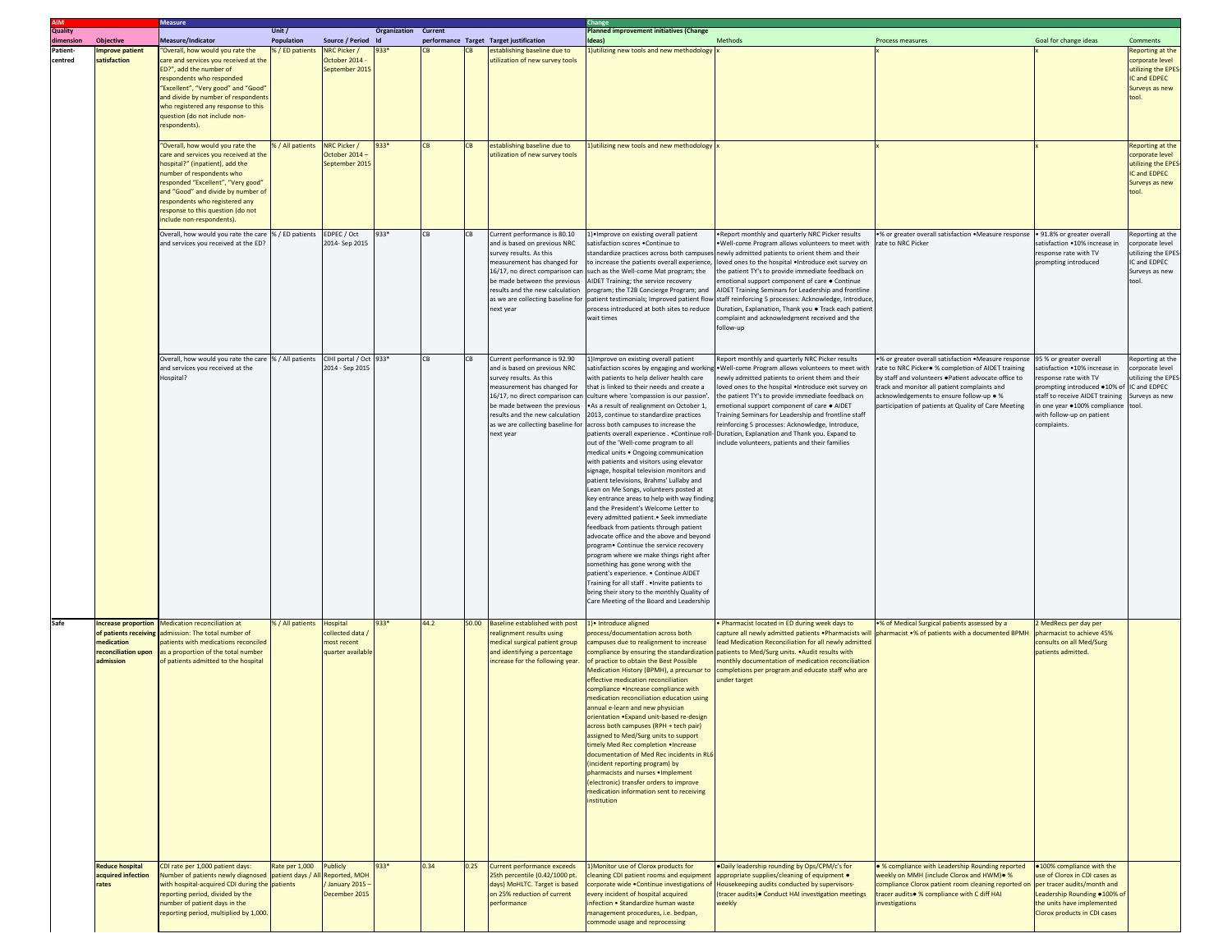|                                  |                                                                                               | <b>Measure</b>                                                                                                                                                                                                                                                                                                            | Unit /            |                                                                      |                             |           |       |                                                                                                                                                                                                                                                                                |                                                                                                                                                                                                                                                                                                                                                                                                                                                                                                                                                                                                                                                                                                                                                                                                                                                                                                                                                                                                                                                                                                                                                          |                                                                                                                                                                                                                                                                                                                                                                                                                                                                                                                                                                                                       |                                                                                                                                                                                                                                                                                                                     |                                                                                                                                                                                                                                |                                                                                                                   |
|----------------------------------|-----------------------------------------------------------------------------------------------|---------------------------------------------------------------------------------------------------------------------------------------------------------------------------------------------------------------------------------------------------------------------------------------------------------------------------|-------------------|----------------------------------------------------------------------|-----------------------------|-----------|-------|--------------------------------------------------------------------------------------------------------------------------------------------------------------------------------------------------------------------------------------------------------------------------------|----------------------------------------------------------------------------------------------------------------------------------------------------------------------------------------------------------------------------------------------------------------------------------------------------------------------------------------------------------------------------------------------------------------------------------------------------------------------------------------------------------------------------------------------------------------------------------------------------------------------------------------------------------------------------------------------------------------------------------------------------------------------------------------------------------------------------------------------------------------------------------------------------------------------------------------------------------------------------------------------------------------------------------------------------------------------------------------------------------------------------------------------------------|-------------------------------------------------------------------------------------------------------------------------------------------------------------------------------------------------------------------------------------------------------------------------------------------------------------------------------------------------------------------------------------------------------------------------------------------------------------------------------------------------------------------------------------------------------------------------------------------------------|---------------------------------------------------------------------------------------------------------------------------------------------------------------------------------------------------------------------------------------------------------------------------------------------------------------------|--------------------------------------------------------------------------------------------------------------------------------------------------------------------------------------------------------------------------------|-------------------------------------------------------------------------------------------------------------------|
| <b>AIM</b><br>Quality<br>dimensi | <b>Objective</b>                                                                              | Measure/Indicator                                                                                                                                                                                                                                                                                                         | <b>Population</b> | Source / Period Id                                                   | <b>Organization Current</b> |           |       |                                                                                                                                                                                                                                                                                | Planned improvement initiatives (Change<br>deas)                                                                                                                                                                                                                                                                                                                                                                                                                                                                                                                                                                                                                                                                                                                                                                                                                                                                                                                                                                                                                                                                                                         | Methods                                                                                                                                                                                                                                                                                                                                                                                                                                                                                                                                                                                               | Process measures                                                                                                                                                                                                                                                                                                    | Goal for change ideas                                                                                                                                                                                                          | Comments                                                                                                          |
| mensior<br>Patient-<br>centred   | mprove patient<br>satisfaction                                                                | "Overall, how would you rate the<br>care and services you received at the<br>ED?", add the number of<br>respondents who responded<br>"Excellent", "Very good" and "Good'<br>and divide by number of respondents<br>who registered any response to this<br>question (do not include non-<br>respondents).                  | % / ED patients   | NRC Picker /<br>October 2014<br>September 2015                       | 933*                        |           |       | performance Target Target justification<br>stablishing baseline due to<br>utilization of new survey tools                                                                                                                                                                      | 1) utilizing new tools and new methodology                                                                                                                                                                                                                                                                                                                                                                                                                                                                                                                                                                                                                                                                                                                                                                                                                                                                                                                                                                                                                                                                                                               |                                                                                                                                                                                                                                                                                                                                                                                                                                                                                                                                                                                                       |                                                                                                                                                                                                                                                                                                                     |                                                                                                                                                                                                                                | Reporting at the<br>corporate level<br>utilizing the EPE!<br>IC and EDPEC<br>Surveys as new<br>tool               |
|                                  |                                                                                               | "Overall, how would you rate the<br>care and services you received at the<br>hospital?" (inpatient), add the<br>number of respondents who<br>responded "Excellent", "Very good"<br>and "Good" and divide by number of<br>respondents who registered any<br>response to this question (do not<br>include non-respondents). | 6 / All patients  | NRC Picker /<br>October 2014<br>September 2015                       | $933*$                      | <b>CB</b> |       | establishing baseline due to<br>utilization of new survey tools                                                                                                                                                                                                                | Jutilizing new tools and new methodology                                                                                                                                                                                                                                                                                                                                                                                                                                                                                                                                                                                                                                                                                                                                                                                                                                                                                                                                                                                                                                                                                                                 |                                                                                                                                                                                                                                                                                                                                                                                                                                                                                                                                                                                                       |                                                                                                                                                                                                                                                                                                                     |                                                                                                                                                                                                                                | <b>Reporting at the</b><br>corporate level<br>utilizing the EPES<br><b>C</b> and EDPEC<br>Surveys as new<br>tool. |
|                                  |                                                                                               | Overall, how would you rate the care<br>and services you received at the ED?                                                                                                                                                                                                                                              | % / ED patients   | EDPEC / Oct<br>2014- Sep 2015                                        | 933*                        | CB        | CB.   | Current performance is 80.10<br>and is based on previous NRC<br>survey results. As this<br>measurement has changed for<br>16/17, no direct comparison can<br>be made between the previous<br>results and the new calculation<br>as we are collecting baseline for<br>next year | ) Improve on existing overall patient<br>atisfaction scores . Continue to<br>o increase the patients overall experience,<br>uch as the Well-come Mat program; the<br><b>IDET Training; the service recovery</b><br>rogram; the T2B Concierge Program; and<br>patient testimonials; Improved patient flow<br>process introduced at both sites to reduce<br>wait times                                                                                                                                                                                                                                                                                                                                                                                                                                                                                                                                                                                                                                                                                                                                                                                     | Report monthly and quarterly NRC Picker results<br>Well-come Program allows volunteers to meet with<br>tandardize practices across both campuses newly admitted patients to orient them and their<br>loved ones to the hospital . Introduce exit survey on<br>he patient TY's to provide immediate feedback on<br>motional support component of care . Continue<br>AIDET Training Seminars for Leadership and frontline<br>taff reinforcing 5 processes: Acknowledge, Introduce<br>Duration, Explanation, Thank you . Track each patier<br>complaint and acknowledgment received and the<br>follow-up | .% or greater overall satisfaction .Measure response<br>rate to NRC Picker                                                                                                                                                                                                                                          | . 91.8% or greater overall<br>satisfaction .10% increase in<br>response rate with TV<br>prompting introduced                                                                                                                   | teporting at the<br>orporate level<br>utilizing the EPE!<br>IC and EDPEC<br>Surveys as new                        |
|                                  |                                                                                               | Overall, how would you rate the care % / All patients CIHI portal / Oct 933*<br>and services you received at the<br>Hospital?                                                                                                                                                                                             |                   | 2014 - Sep 2015                                                      |                             | CВ        | CB    | Current performance is 92.90<br>and is based on previous NRC<br>survey results. As this<br>measurement has changed for<br>16/17, no direct comparison can<br>be made between the previous<br>results and the new calculation<br>as we are collecting baseline for<br>next year | )Improve on existing overall patient<br>vith patients to help deliver health care<br>hat is linked to their needs and create a<br>culture where 'compassion is our passion'.<br>As a result of realignment on October 1,<br>2013, continue to standardize practices<br>across both campuses to increase the<br>atients overall experience Continue roll-<br>ut of the 'Well-come program to all<br>nedical units . Ongoing communication<br>vith patients and visitors using elevator<br>signage, hospital television monitors and<br>atient televisions, Brahms' Lullaby and<br>ean on Me Songs, volunteers posted at<br>ey entrance areas to help with way finding<br>and the President's Welcome Letter to<br>very admitted patient. • Seek immediate<br>eedback from patients through patient<br>dvocate office and the above and beyond<br>program. Continue the service recovery<br>rogram where we make things right after<br>omething has gone wrong with the<br>atient's experience. . Continue AIDET<br>raining for all staff. . Invite patients to<br>oring their story to the monthly Quality of<br>Care Meeting of the Board and Leadership | Report monthly and quarterly NRC Picker results<br>atisfaction scores by engaging and working . Well-come Program allows volunteers to meet with<br>ewly admitted patients to orient them and their<br>oved ones to the hospital . Introduce exit survey on<br>he patient TY's to provide immediate feedback on<br>motional support component of care . AIDET<br>raining Seminars for Leadership and frontline staff<br>einforcing 5 processes: Acknowledge, Introduce,<br>Juration, Explanation and Thank you. Expand to<br>clude volunteers, patients and their families                            | •% or greater overall satisfaction .Measure response<br>ate to NRC Picker. % completion of AIDET training<br>by staff and volunteers .Patient advocate office to<br>track and monitor all patient complaints and<br>acknowledgements to ensure follow-up . %<br>articipation of patients at Quality of Care Meeting | 95 % or greater overall<br>atisfaction .10% increase in<br>esponse rate with TV<br>prompting introduced .10% of<br>staff to receive AIDET training<br>in one year ·100% compliance<br>with follow-up on patient<br>complaints. | Reporting at the<br>prporate level<br>tilizing the EPES<br>IC and EDPEC<br>Surveys as new<br>tool                 |
| Safe                             | Increase proportion<br>of patients receiving<br>nedication<br>reconciliation upon<br>dmission | Medication reconciliation at<br>admission: The total number of<br>atients with medications reconciled<br>as a proportion of the total number<br>of patients admitted to the hospital                                                                                                                                      | % / All patients  | <b>Hospital</b><br>collected data<br>most recent<br>quarter availabl | 933*                        | 44.2      | 50.00 | <b>Baseline established with post</b><br>realignment results using<br>medical surgical patient group<br>and identifying a percentage<br>increase for the following year.                                                                                                       | 1) Introduce aligned<br>rocess/documentation across both<br>ampuses due to realignment to increase<br>of practice to obtain the Best Possible<br>Medication History (BPMH), a precursor to<br>effective medication reconciliation<br>ompliance . Increase compliance with<br>nedication reconciliation education using<br>annual e-learn and new physician<br>rientation . Expand unit-based re-c<br>cross both campuses (RPH + tech pair)<br>ssigned to Med/Surg units to support<br>imely Med Rec completion . Increase<br>locumentation of Med Rec incidents in RL6<br>incident reporting program) by<br>pharmacists and nurses . Implement<br>electronic) transfer orders to improve<br>nedication information sent to receiving<br>nstitution                                                                                                                                                                                                                                                                                                                                                                                                       | Pharmacist located in ED during week days to<br>lead Medication Reconciliation for all newly admitted<br>ompliance by ensuring the standardization patients to Med/Surg units. . Audit results with<br>nonthly documentation of medication reconciliation<br>completions per program and educate staff who are<br>inder target                                                                                                                                                                                                                                                                        | .% of Medical Surgical patients assessed by a<br>capture all newly admitted patients . Pharmacists will pharmacist .% of patients with a documented BPMH                                                                                                                                                            | MedRecs per day per<br>pharmacist to achieve 45%<br>consults on all Med/Surg<br>patients admitted.                                                                                                                             |                                                                                                                   |
|                                  | <b>Reduce hospital</b><br>acquired infection<br>rates                                         | CDI rate per 1,000 patient days:<br>Number of patients newly diagnosed patient days / All Reported, MOH<br>with hospital-acquired CDI during the patients<br>reporting period, divided by the<br>number of patient days in the<br>reporting period, multiplied by 1,000.                                                  | Rate per 1,000    | <b>Publicly</b><br>/ January 2015 -<br>December 2015                 | 933*                        | 0.34      | 0.25  | Current performance exceeds<br>25th percentile (0.42/1000 pt.<br>days) MoHLTC. Target is based<br>on 25% reduction of current<br>performance                                                                                                                                   | Monitor use of Clorox products for<br>leaning CDI patient rooms and equipment<br>orporate wide .Continue investigations of<br>very incident of hospital acquired<br>nfection • Standardize human waste<br>nanagement procedures, i.e. bedpan,<br>ommode usage and reprocessing                                                                                                                                                                                                                                                                                                                                                                                                                                                                                                                                                                                                                                                                                                                                                                                                                                                                           | .Daily leadership rounding by Ops/CPM/c's for<br>appropriate supplies/cleaning of equipment .<br>Housekeeping audits conducted by supervisors-<br>(tracer audits) · Conduct HAI investigation meetings<br>weekly                                                                                                                                                                                                                                                                                                                                                                                      | . % compliance with Leadership Rounding reported<br>weekly on MMH (include Clorox and HWM) . %<br>compliance Clorox patient room cleaning reported on per tracer audits/month and<br>tracer audits• % compliance with C diff HAI<br><b>nvestigations</b>                                                            | .100% compliance with the<br>use of Clorox in CDI cases as<br>Leadership Rounding .100% of<br>the units have implemented<br>Clorox products in CDI cases                                                                       |                                                                                                                   |